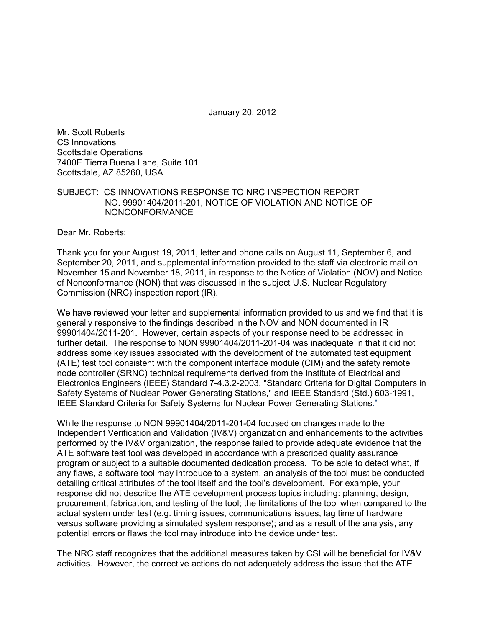January 20, 2012

Mr. Scott Roberts CS Innovations Scottsdale Operations 7400E Tierra Buena Lane, Suite 101 Scottsdale, AZ 85260, USA

## SUBJECT: CS INNOVATIONS RESPONSE TO NRC INSPECTION REPORT NO. 99901404/2011-201, NOTICE OF VIOLATION AND NOTICE OF NONCONFORMANCE

Dear Mr. Roberts:

Thank you for your August 19, 2011, letter and phone calls on August 11, September 6, and September 20, 2011, and supplemental information provided to the staff via electronic mail on November 15 and November 18, 2011, in response to the Notice of Violation (NOV) and Notice of Nonconformance (NON) that was discussed in the subject U.S. Nuclear Regulatory Commission (NRC) inspection report (IR).

We have reviewed your letter and supplemental information provided to us and we find that it is generally responsive to the findings described in the NOV and NON documented in IR 99901404/2011-201. However, certain aspects of your response need to be addressed in further detail. The response to NON 99901404/2011-201-04 was inadequate in that it did not address some key issues associated with the development of the automated test equipment (ATE) test tool consistent with the component interface module (CIM) and the safety remote node controller (SRNC) technical requirements derived from the Institute of Electrical and Electronics Engineers (IEEE) Standard 7-4.3.2-2003, "Standard Criteria for Digital Computers in Safety Systems of Nuclear Power Generating Stations," and IEEE Standard (Std.) 603-1991, IEEE Standard Criteria for Safety Systems for Nuclear Power Generating Stations."

While the response to NON 99901404/2011-201-04 focused on changes made to the Independent Verification and Validation (IV&V) organization and enhancements to the activities performed by the IV&V organization, the response failed to provide adequate evidence that the ATE software test tool was developed in accordance with a prescribed quality assurance program or subject to a suitable documented dedication process. To be able to detect what, if any flaws, a software tool may introduce to a system, an analysis of the tool must be conducted detailing critical attributes of the tool itself and the tool's development. For example, your response did not describe the ATE development process topics including: planning, design, procurement, fabrication, and testing of the tool; the limitations of the tool when compared to the actual system under test (e.g. timing issues, communications issues, lag time of hardware versus software providing a simulated system response); and as a result of the analysis, any potential errors or flaws the tool may introduce into the device under test.

The NRC staff recognizes that the additional measures taken by CSI will be beneficial for IV&V activities. However, the corrective actions do not adequately address the issue that the ATE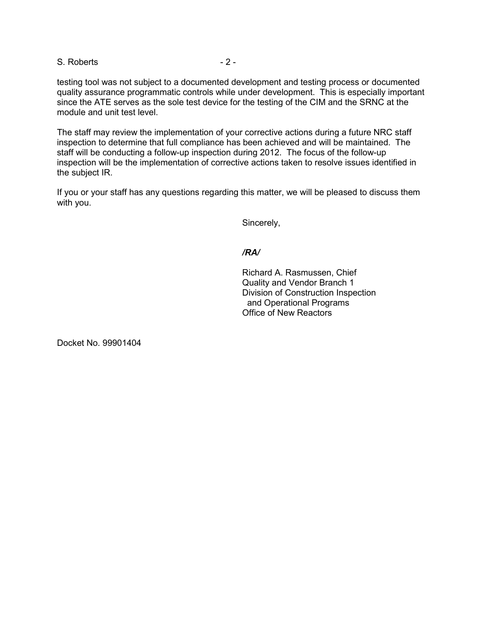S. Roberts - 2 -

testing tool was not subject to a documented development and testing process or documented quality assurance programmatic controls while under development. This is especially important since the ATE serves as the sole test device for the testing of the CIM and the SRNC at the module and unit test level.

The staff may review the implementation of your corrective actions during a future NRC staff inspection to determine that full compliance has been achieved and will be maintained. The staff will be conducting a follow-up inspection during 2012.The focus of the follow-up inspection will be the implementation of corrective actions taken to resolve issues identified in the subject IR.

If you or your staff has any questions regarding this matter, we will be pleased to discuss them with you.

Sincerely,

## */RA/*

Richard A. Rasmussen, Chief Quality and Vendor Branch 1 Division of Construction Inspection and Operational Programs Office of New Reactors

Docket No. 99901404